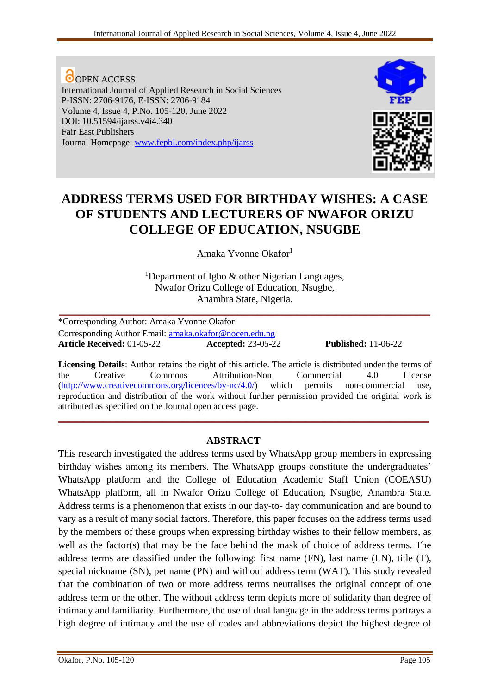**O**OPEN ACCESS International Journal of Applied Research in Social Sciences P-ISSN: 2706-9176, E-ISSN: 2706-9184 Volume 4, Issue 4, P.No. 105-120, June 2022 DOI: 10.51594/ijarss.v4i4.340 Fair East Publishers Journal Homepage: [www.fepbl.com/index.php/ijarss](http://www.fepbl.com/index.php/ijarss)



# **ADDRESS TERMS USED FOR BIRTHDAY WISHES: A CASE OF STUDENTS AND LECTURERS OF NWAFOR ORIZU COLLEGE OF EDUCATION, NSUGBE**

Amaka Yvonne Okafor<sup>1</sup>

<sup>1</sup>Department of Igbo  $\&$  other Nigerian Languages, Nwafor Orizu College of Education, Nsugbe, Anambra State, Nigeria.

**\_\_\_\_\_\_\_\_\_\_\_\_\_\_\_\_\_\_\_\_\_\_\_\_\_\_\_\_\_\_\_\_\_\_\_\_\_\_\_\_\_\_\_\_\_\_\_\_\_\_\_\_\_\_\_\_\_\_\_\_\_\_\_\_\_\_\_\_\_\_\_\_\_\_\_**

\*Corresponding Author: Amaka Yvonne Okafor Corresponding Author Email: [amaka.okafor@nocen.edu.ng](mailto:amaka.okafor@nocen.edu.ng) **Article Received:** 01-05-22 **Accepted:** 23-05-22 **Published:** 11-06-22

**Licensing Details**: Author retains the right of this article. The article is distributed under the terms of the Creative Commons Attribution-Non Commercial 4.0 License [\(http://www.creativecommons.org/licences/by-nc/4.0/\)](http://www.creativecommons.org/licences/by-nc/4.0/) which permits non-commercial use, reproduction and distribution of the work without further permission provided the original work is attributed as specified on the Journal open access page.

**\_\_\_\_\_\_\_\_\_\_\_\_\_\_\_\_\_\_\_\_\_\_\_\_\_\_\_\_\_\_\_\_\_\_\_\_\_\_\_\_\_\_\_\_\_\_\_\_\_\_\_\_\_\_\_\_\_\_\_\_\_\_\_\_\_\_\_\_\_\_\_\_\_\_\_**

# **ABSTRACT**

This research investigated the address terms used by WhatsApp group members in expressing birthday wishes among its members. The WhatsApp groups constitute the undergraduates' WhatsApp platform and the College of Education Academic Staff Union (COEASU) WhatsApp platform, all in Nwafor Orizu College of Education, Nsugbe, Anambra State. Address terms is a phenomenon that exists in our day-to- day communication and are bound to vary as a result of many social factors. Therefore, this paper focuses on the address terms used by the members of these groups when expressing birthday wishes to their fellow members, as well as the factor(s) that may be the face behind the mask of choice of address terms. The address terms are classified under the following: first name (FN), last name (LN), title (T), special nickname (SN), pet name (PN) and without address term (WAT). This study revealed that the combination of two or more address terms neutralises the original concept of one address term or the other. The without address term depicts more of solidarity than degree of intimacy and familiarity. Furthermore, the use of dual language in the address terms portrays a high degree of intimacy and the use of codes and abbreviations depict the highest degree of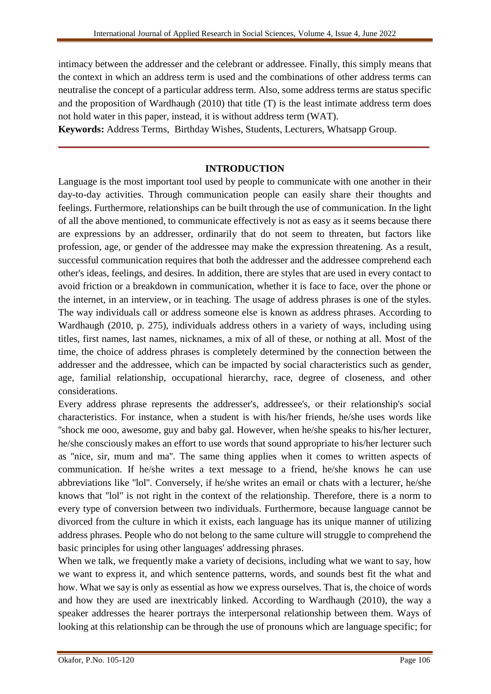intimacy between the addresser and the celebrant or addressee. Finally, this simply means that the context in which an address term is used and the combinations of other address terms can neutralise the concept of a particular address term. Also, some address terms are status specific and the proposition of Wardhaugh (2010) that title (T) is the least intimate address term does not hold water in this paper, instead, it is without address term (WAT).

**Keywords:** Address Terms, Birthday Wishes, Students, Lecturers, Whatsapp Group.

# **INTRODUCTION**

**\_\_\_\_\_\_\_\_\_\_\_\_\_\_\_\_\_\_\_\_\_\_\_\_\_\_\_\_\_\_\_\_\_\_\_\_\_\_\_\_\_\_\_\_\_\_\_\_\_\_\_\_\_\_\_\_\_\_\_\_\_\_\_\_\_\_\_\_\_\_\_\_\_\_\_**

Language is the most important tool used by people to communicate with one another in their day-to-day activities. Through communication people can easily share their thoughts and feelings. Furthermore, relationships can be built through the use of communication. In the light of all the above mentioned, to communicate effectively is not as easy as it seems because there are expressions by an addresser, ordinarily that do not seem to threaten, but factors like profession, age, or gender of the addressee may make the expression threatening. As a result, successful communication requires that both the addresser and the addressee comprehend each other's ideas, feelings, and desires. In addition, there are styles that are used in every contact to avoid friction or a breakdown in communication, whether it is face to face, over the phone or the internet, in an interview, or in teaching. The usage of address phrases is one of the styles. The way individuals call or address someone else is known as address phrases. According to Wardhaugh (2010, p. 275), individuals address others in a variety of ways, including using titles, first names, last names, nicknames, a mix of all of these, or nothing at all. Most of the time, the choice of address phrases is completely determined by the connection between the addresser and the addressee, which can be impacted by social characteristics such as gender, age, familial relationship, occupational hierarchy, race, degree of closeness, and other considerations.

Every address phrase represents the addresser's, addressee's, or their relationship's social characteristics. For instance, when a student is with his/her friends, he/she uses words like ''shock me ooo, awesome, guy and baby gal. However, when he/she speaks to his/her lecturer, he/she consciously makes an effort to use words that sound appropriate to his/her lecturer such as ''nice, sir, mum and ma''. The same thing applies when it comes to written aspects of communication. If he/she writes a text message to a friend, he/she knows he can use abbreviations like ''lol''. Conversely, if he/she writes an email or chats with a lecturer, he/she knows that ''lol'' is not right in the context of the relationship. Therefore, there is a norm to every type of conversion between two individuals. Furthermore, because language cannot be divorced from the culture in which it exists, each language has its unique manner of utilizing address phrases. People who do not belong to the same culture will struggle to comprehend the basic principles for using other languages' addressing phrases.

When we talk, we frequently make a variety of decisions, including what we want to say, how we want to express it, and which sentence patterns, words, and sounds best fit the what and how. What we say is only as essential as how we express ourselves. That is, the choice of words and how they are used are inextricably linked. According to Wardhaugh (2010), the way a speaker addresses the hearer portrays the interpersonal relationship between them. Ways of looking at this relationship can be through the use of pronouns which are language specific; for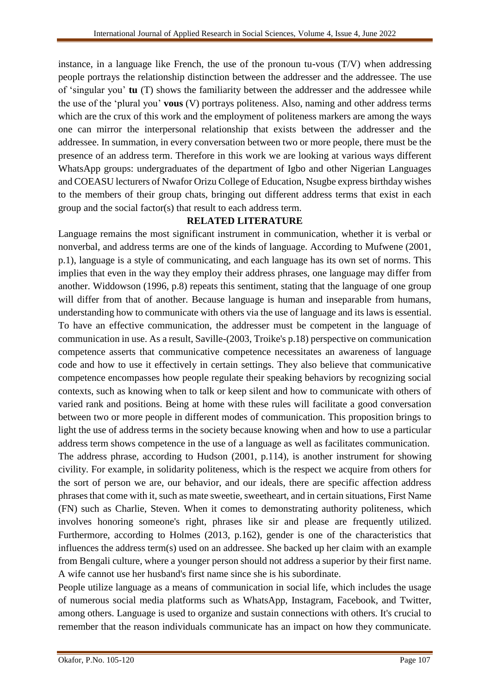instance, in a language like French, the use of the pronoun tu-vous (T/V) when addressing people portrays the relationship distinction between the addresser and the addressee. The use of 'singular you' **tu** (T) shows the familiarity between the addresser and the addressee while the use of the 'plural you' **vous** (V) portrays politeness. Also, naming and other address terms which are the crux of this work and the employment of politeness markers are among the ways one can mirror the interpersonal relationship that exists between the addresser and the addressee. In summation, in every conversation between two or more people, there must be the presence of an address term. Therefore in this work we are looking at various ways different WhatsApp groups: undergraduates of the department of Igbo and other Nigerian Languages and COEASU lecturers of Nwafor Orizu College of Education, Nsugbe express birthday wishes to the members of their group chats, bringing out different address terms that exist in each group and the social factor(s) that result to each address term.

### **RELATED LITERATURE**

Language remains the most significant instrument in communication, whether it is verbal or nonverbal, and address terms are one of the kinds of language. According to Mufwene (2001, p.1), language is a style of communicating, and each language has its own set of norms. This implies that even in the way they employ their address phrases, one language may differ from another. Widdowson (1996, p.8) repeats this sentiment, stating that the language of one group will differ from that of another. Because language is human and inseparable from humans, understanding how to communicate with others via the use of language and its laws is essential. To have an effective communication, the addresser must be competent in the language of communication in use. As a result, Saville-(2003, Troike's p.18) perspective on communication competence asserts that communicative competence necessitates an awareness of language code and how to use it effectively in certain settings. They also believe that communicative competence encompasses how people regulate their speaking behaviors by recognizing social contexts, such as knowing when to talk or keep silent and how to communicate with others of varied rank and positions. Being at home with these rules will facilitate a good conversation between two or more people in different modes of communication. This proposition brings to light the use of address terms in the society because knowing when and how to use a particular address term shows competence in the use of a language as well as facilitates communication. The address phrase, according to Hudson (2001, p.114), is another instrument for showing civility. For example, in solidarity politeness, which is the respect we acquire from others for the sort of person we are, our behavior, and our ideals, there are specific affection address phrases that come with it, such as mate sweetie, sweetheart, and in certain situations, First Name

(FN) such as Charlie, Steven. When it comes to demonstrating authority politeness, which involves honoring someone's right, phrases like sir and please are frequently utilized. Furthermore, according to Holmes (2013, p.162), gender is one of the characteristics that influences the address term(s) used on an addressee. She backed up her claim with an example from Bengali culture, where a younger person should not address a superior by their first name. A wife cannot use her husband's first name since she is his subordinate.

People utilize language as a means of communication in social life, which includes the usage of numerous social media platforms such as WhatsApp, Instagram, Facebook, and Twitter, among others. Language is used to organize and sustain connections with others. It's crucial to remember that the reason individuals communicate has an impact on how they communicate.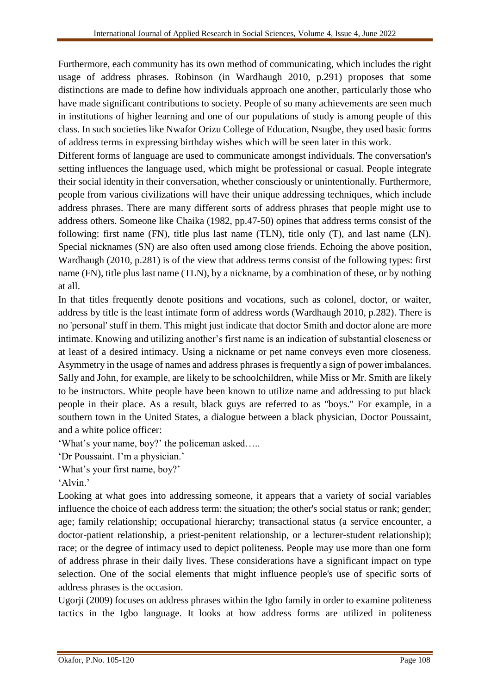Furthermore, each community has its own method of communicating, which includes the right usage of address phrases. Robinson (in Wardhaugh 2010, p.291) proposes that some distinctions are made to define how individuals approach one another, particularly those who have made significant contributions to society. People of so many achievements are seen much in institutions of higher learning and one of our populations of study is among people of this class. In such societies like Nwafor Orizu College of Education, Nsugbe, they used basic forms of address terms in expressing birthday wishes which will be seen later in this work.

Different forms of language are used to communicate amongst individuals. The conversation's setting influences the language used, which might be professional or casual. People integrate their social identity in their conversation, whether consciously or unintentionally. Furthermore, people from various civilizations will have their unique addressing techniques, which include address phrases. There are many different sorts of address phrases that people might use to address others. Someone like Chaika (1982, pp.47-50) opines that address terms consist of the following: first name (FN), title plus last name (TLN), title only (T), and last name (LN). Special nicknames (SN) are also often used among close friends. Echoing the above position, Wardhaugh (2010, p.281) is of the view that address terms consist of the following types: first name (FN), title plus last name (TLN), by a nickname, by a combination of these, or by nothing at all.

In that titles frequently denote positions and vocations, such as colonel, doctor, or waiter, address by title is the least intimate form of address words (Wardhaugh 2010, p.282). There is no 'personal' stuff in them. This might just indicate that doctor Smith and doctor alone are more intimate. Knowing and utilizing another's first name is an indication of substantial closeness or at least of a desired intimacy. Using a nickname or pet name conveys even more closeness. Asymmetry in the usage of names and address phrases is frequently a sign of power imbalances. Sally and John, for example, are likely to be schoolchildren, while Miss or Mr. Smith are likely to be instructors. White people have been known to utilize name and addressing to put black people in their place. As a result, black guys are referred to as "boys." For example, in a southern town in the United States, a dialogue between a black physician, Doctor Poussaint, and a white police officer:

'What's your name, boy?' the policeman asked…..

'Dr Poussaint. I'm a physician.'

'What's your first name, boy?'

'Alvin.'

Looking at what goes into addressing someone, it appears that a variety of social variables influence the choice of each address term: the situation; the other's social status or rank; gender; age; family relationship; occupational hierarchy; transactional status (a service encounter, a doctor-patient relationship, a priest-penitent relationship, or a lecturer-student relationship); race; or the degree of intimacy used to depict politeness. People may use more than one form of address phrase in their daily lives. These considerations have a significant impact on type selection. One of the social elements that might influence people's use of specific sorts of address phrases is the occasion.

Ugorji (2009) focuses on address phrases within the Igbo family in order to examine politeness tactics in the Igbo language. It looks at how address forms are utilized in politeness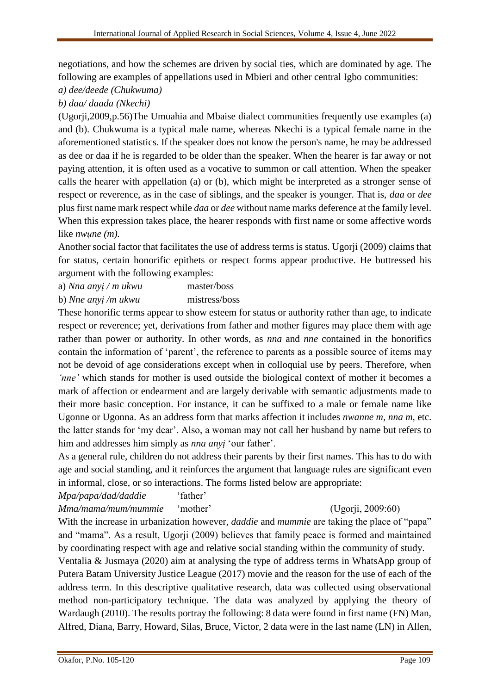negotiations, and how the schemes are driven by social ties, which are dominated by age. The following are examples of appellations used in Mbieri and other central Igbo communities:

*a) dee/deede (Chukwuma)*

*b) daa/ daada (Nkechi)*

(Ugorji,2009,p.56)The Umuahia and Mbaise dialect communities frequently use examples (a) and (b). Chukwuma is a typical male name, whereas Nkechi is a typical female name in the aforementioned statistics. If the speaker does not know the person's name, he may be addressed as dee or daa if he is regarded to be older than the speaker. When the hearer is far away or not paying attention, it is often used as a vocative to summon or call attention. When the speaker calls the hearer with appellation (a) or (b), which might be interpreted as a stronger sense of respect or reverence, as in the case of siblings, and the speaker is younger. That is, *daa* or *dee* plus first name mark respect while *daa* or *dee* without name marks deference at the family level. When this expression takes place, the hearer responds with first name or some affective words like *nwune* (*m*).

Another social factor that facilitates the use of address terms is status. Ugorji (2009) claims that for status, certain honorific epithets or respect forms appear productive. He buttressed his argument with the following examples:

a) *Nna anyị / m ukwu* master/boss

b) *Nne anyị /m ukwu* mistress/boss

These honorific terms appear to show esteem for status or authority rather than age, to indicate respect or reverence; yet, derivations from father and mother figures may place them with age rather than power or authority. In other words, as *nna* and *nne* contained in the honorifics contain the information of 'parent', the reference to parents as a possible source of items may not be devoid of age considerations except when in colloquial use by peers. Therefore, when *'nne'* which stands for mother is used outside the biological context of mother it becomes a mark of affection or endearment and are largely derivable with semantic adjustments made to their more basic conception. For instance, it can be suffixed to a male or female name like Ugonne or Ugonna. As an address form that marks affection it includes *nwanne m, nna m,* etc. the latter stands for 'my dear'. Also, a woman may not call her husband by name but refers to him and addresses him simply as *nna anyị* 'our father'.

As a general rule, children do not address their parents by their first names. This has to do with age and social standing, and it reinforces the argument that language rules are significant even in informal, close, or so interactions. The forms listed below are appropriate:

*Mpa/papa/dad/daddie* 'father'

*Mma/mama/mum/mummie* 'mother' (Ugorji, 2009:60)

With the increase in urbanization however, *daddie* and *mummie* are taking the place of "papa" and "mama". As a result, Ugorji (2009) believes that family peace is formed and maintained by coordinating respect with age and relative social standing within the community of study.

Ventalia & Jusmaya (2020) aim at analysing the type of address terms in WhatsApp group of Putera Batam University Justice League (2017) movie and the reason for the use of each of the address term. In this descriptive qualitative research, data was collected using observational method non-participatory technique. The data was analyzed by applying the theory of Wardaugh (2010). The results portray the following: 8 data were found in first name (FN) Man, Alfred, Diana, Barry, Howard, Silas, Bruce, Victor, 2 data were in the last name (LN) in Allen,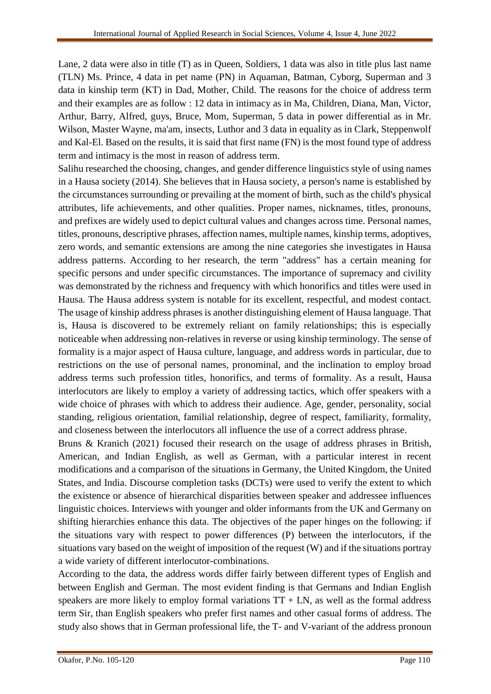Lane, 2 data were also in title (T) as in Queen, Soldiers, 1 data was also in title plus last name (TLN) Ms. Prince, 4 data in pet name (PN) in Aquaman, Batman, Cyborg, Superman and 3 data in kinship term (KT) in Dad, Mother, Child. The reasons for the choice of address term and their examples are as follow : 12 data in intimacy as in Ma, Children, Diana, Man, Victor, Arthur, Barry, Alfred, guys, Bruce, Mom, Superman, 5 data in power differential as in Mr. Wilson, Master Wayne, ma'am, insects, Luthor and 3 data in equality as in Clark, Steppenwolf and Kal-El. Based on the results, it is said that first name (FN) is the most found type of address term and intimacy is the most in reason of address term.

Salihu researched the choosing, changes, and gender difference linguistics style of using names in a Hausa society (2014). She believes that in Hausa society, a person's name is established by the circumstances surrounding or prevailing at the moment of birth, such as the child's physical attributes, life achievements, and other qualities. Proper names, nicknames, titles, pronouns, and prefixes are widely used to depict cultural values and changes across time. Personal names, titles, pronouns, descriptive phrases, affection names, multiple names, kinship terms, adoptives, zero words, and semantic extensions are among the nine categories she investigates in Hausa address patterns. According to her research, the term "address" has a certain meaning for specific persons and under specific circumstances. The importance of supremacy and civility was demonstrated by the richness and frequency with which honorifics and titles were used in Hausa. The Hausa address system is notable for its excellent, respectful, and modest contact. The usage of kinship address phrases is another distinguishing element of Hausa language. That is, Hausa is discovered to be extremely reliant on family relationships; this is especially noticeable when addressing non-relatives in reverse or using kinship terminology. The sense of formality is a major aspect of Hausa culture, language, and address words in particular, due to restrictions on the use of personal names, pronominal, and the inclination to employ broad address terms such profession titles, honorifics, and terms of formality. As a result, Hausa interlocutors are likely to employ a variety of addressing tactics, which offer speakers with a wide choice of phrases with which to address their audience. Age, gender, personality, social standing, religious orientation, familial relationship, degree of respect, familiarity, formality, and closeness between the interlocutors all influence the use of a correct address phrase.

Bruns & Kranich (2021) focused their research on the usage of address phrases in British, American, and Indian English, as well as German, with a particular interest in recent modifications and a comparison of the situations in Germany, the United Kingdom, the United States, and India. Discourse completion tasks (DCTs) were used to verify the extent to which the existence or absence of hierarchical disparities between speaker and addressee influences linguistic choices. Interviews with younger and older informants from the UK and Germany on shifting hierarchies enhance this data. The objectives of the paper hinges on the following: if the situations vary with respect to power differences (P) between the interlocutors, if the situations vary based on the weight of imposition of the request (W) and if the situations portray a wide variety of different interlocutor-combinations.

According to the data, the address words differ fairly between different types of English and between English and German. The most evident finding is that Germans and Indian English speakers are more likely to employ formal variations  $TT + LN$ , as well as the formal address term Sir, than English speakers who prefer first names and other casual forms of address. The study also shows that in German professional life, the T- and V-variant of the address pronoun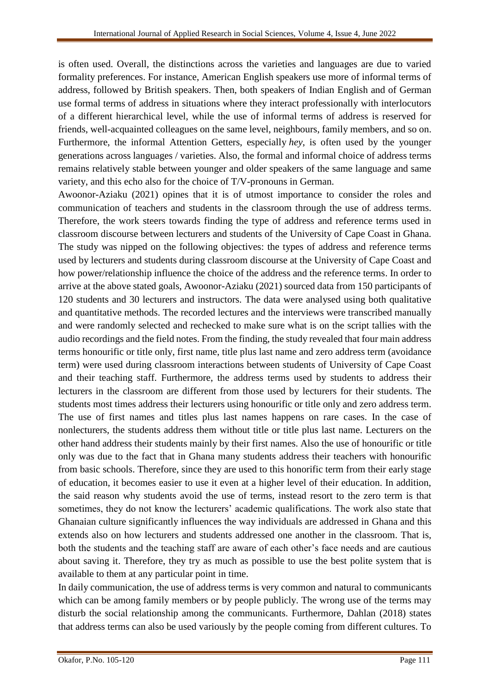is often used. Overall, the distinctions across the varieties and languages are due to varied formality preferences. For instance, American English speakers use more of informal terms of address, followed by British speakers. Then, both speakers of Indian English and of German use formal terms of address in situations where they interact professionally with interlocutors of a different hierarchical level, while the use of informal terms of address is reserved for friends, well-acquainted colleagues on the same level, neighbours, family members, and so on. Furthermore, the informal Attention Getters, especially *hey*, is often used by the younger generations across languages / varieties. Also, the formal and informal choice of address terms remains relatively stable between younger and older speakers of the same language and same variety, and this echo also for the choice of T/V-pronouns in German.

Awoonor-Aziaku (2021) opines that it is of utmost importance to consider the roles and communication of teachers and students in the classroom through the use of address terms. Therefore, the work steers towards finding the type of address and reference terms used in classroom discourse between lecturers and students of the University of Cape Coast in Ghana. The study was nipped on the following objectives: the types of address and reference terms used by lecturers and students during classroom discourse at the University of Cape Coast and how power/relationship influence the choice of the address and the reference terms. In order to arrive at the above stated goals, Awoonor-Aziaku (2021) sourced data from 150 participants of 120 students and 30 lecturers and instructors. The data were analysed using both qualitative and quantitative methods. The recorded lectures and the interviews were transcribed manually and were randomly selected and rechecked to make sure what is on the script tallies with the audio recordings and the field notes. From the finding, the study revealed that four main address terms honourific or title only, first name, title plus last name and zero address term (avoidance term) were used during classroom interactions between students of University of Cape Coast and their teaching staff. Furthermore, the address terms used by students to address their lecturers in the classroom are different from those used by lecturers for their students. The students most times address their lecturers using honourific or title only and zero address term. The use of first names and titles plus last names happens on rare cases. In the case of nonlecturers, the students address them without title or title plus last name. Lecturers on the other hand address their students mainly by their first names. Also the use of honourific or title only was due to the fact that in Ghana many students address their teachers with honourific from basic schools. Therefore, since they are used to this honorific term from their early stage of education, it becomes easier to use it even at a higher level of their education. In addition, the said reason why students avoid the use of terms, instead resort to the zero term is that sometimes, they do not know the lecturers' academic qualifications. The work also state that Ghanaian culture significantly influences the way individuals are addressed in Ghana and this extends also on how lecturers and students addressed one another in the classroom. That is, both the students and the teaching staff are aware of each other's face needs and are cautious about saving it. Therefore, they try as much as possible to use the best polite system that is available to them at any particular point in time.

In daily communication, the use of address terms is very common and natural to communicants which can be among family members or by people publicly. The wrong use of the terms may disturb the social relationship among the communicants. Furthermore, Dahlan (2018) states that address terms can also be used variously by the people coming from different cultures. To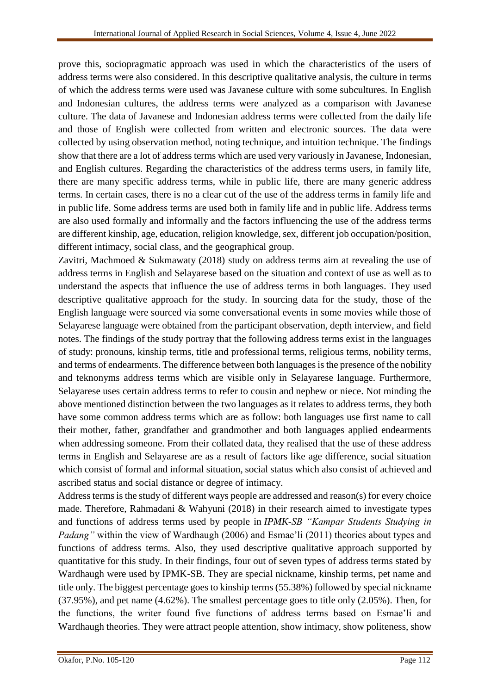prove this, sociopragmatic approach was used in which the characteristics of the users of address terms were also considered. In this descriptive qualitative analysis, the culture in terms of which the address terms were used was Javanese culture with some subcultures. In English and Indonesian cultures, the address terms were analyzed as a comparison with Javanese culture. The data of Javanese and Indonesian address terms were collected from the daily life and those of English were collected from written and electronic sources. The data were collected by using observation method, noting technique, and intuition technique. The findings show that there are a lot of address terms which are used very variously in Javanese, Indonesian, and English cultures. Regarding the characteristics of the address terms users, in family life, there are many specific address terms, while in public life, there are many generic address terms. In certain cases, there is no a clear cut of the use of the address terms in family life and in public life. Some address terms are used both in family life and in public life. Address terms are also used formally and informally and the factors influencing the use of the address terms are different kinship, age, education, religion knowledge, sex, different job occupation/position, different intimacy, social class, and the geographical group.

Zavitri, Machmoed & Sukmawaty (2018) study on address terms aim at revealing the use of address terms in English and Selayarese based on the situation and context of use as well as to understand the aspects that influence the use of address terms in both languages. They used descriptive qualitative approach for the study. In sourcing data for the study, those of the English language were sourced via some conversational events in some movies while those of Selayarese language were obtained from the participant observation, depth interview, and field notes. The findings of the study portray that the following address terms exist in the languages of study: pronouns, kinship terms, title and professional terms, religious terms, nobility terms, and terms of endearments. The difference between both languages is the presence of the nobility and teknonyms address terms which are visible only in Selayarese language. Furthermore, Selayarese uses certain address terms to refer to cousin and nephew or niece. Not minding the above mentioned distinction between the two languages as it relates to address terms, they both have some common address terms which are as follow: both languages use first name to call their mother, father, grandfather and grandmother and both languages applied endearments when addressing someone. From their collated data, they realised that the use of these address terms in English and Selayarese are as a result of factors like age difference, social situation which consist of formal and informal situation, social status which also consist of achieved and ascribed status and social distance or degree of intimacy.

Address terms is the study of different ways people are addressed and reason(s) for every choice made. Therefore, Rahmadani & Wahyuni (2018) in their research aimed to investigate types and functions of address terms used by people in *IPMK-SB "Kampar Students Studying in Padang*" within the view of Wardhaugh (2006) and Esmae'li (2011) theories about types and functions of address terms. Also, they used descriptive qualitative approach supported by quantitative for this study. In their findings, four out of seven types of address terms stated by Wardhaugh were used by IPMK-SB. They are special nickname, kinship terms, pet name and title only. The biggest percentage goes to kinship terms (55.38%) followed by special nickname (37.95%), and pet name (4.62%). The smallest percentage goes to title only (2.05%). Then, for the functions, the writer found five functions of address terms based on Esmae'li and Wardhaugh theories. They were attract people attention, show intimacy, show politeness, show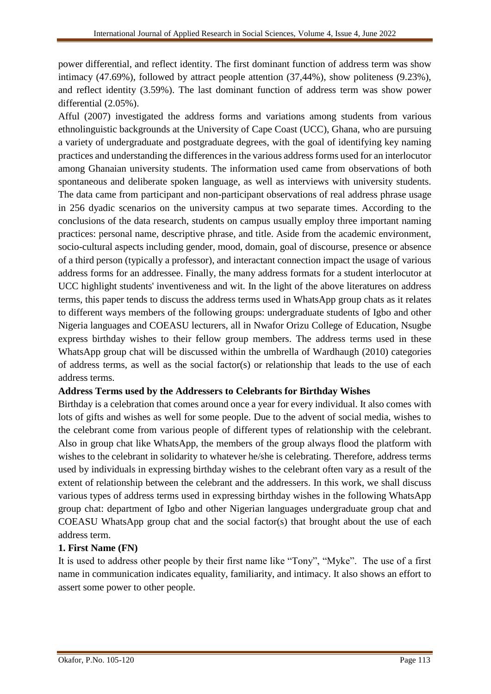power differential, and reflect identity. The first dominant function of address term was show intimacy (47.69%), followed by attract people attention (37,44%), show politeness (9.23%), and reflect identity (3.59%). The last dominant function of address term was show power differential (2.05%).

Afful (2007) investigated the address forms and variations among students from various ethnolinguistic backgrounds at the University of Cape Coast (UCC), Ghana, who are pursuing a variety of undergraduate and postgraduate degrees, with the goal of identifying key naming practices and understanding the differences in the various address forms used for an interlocutor among Ghanaian university students. The information used came from observations of both spontaneous and deliberate spoken language, as well as interviews with university students. The data came from participant and non-participant observations of real address phrase usage in 256 dyadic scenarios on the university campus at two separate times. According to the conclusions of the data research, students on campus usually employ three important naming practices: personal name, descriptive phrase, and title. Aside from the academic environment, socio-cultural aspects including gender, mood, domain, goal of discourse, presence or absence of a third person (typically a professor), and interactant connection impact the usage of various address forms for an addressee. Finally, the many address formats for a student interlocutor at UCC highlight students' inventiveness and wit. In the light of the above literatures on address terms, this paper tends to discuss the address terms used in WhatsApp group chats as it relates to different ways members of the following groups: undergraduate students of Igbo and other Nigeria languages and COEASU lecturers, all in Nwafor Orizu College of Education, Nsugbe express birthday wishes to their fellow group members. The address terms used in these WhatsApp group chat will be discussed within the umbrella of Wardhaugh (2010) categories of address terms, as well as the social factor(s) or relationship that leads to the use of each address terms.

### **Address Terms used by the Addressers to Celebrants for Birthday Wishes**

Birthday is a celebration that comes around once a year for every individual. It also comes with lots of gifts and wishes as well for some people. Due to the advent of social media, wishes to the celebrant come from various people of different types of relationship with the celebrant. Also in group chat like WhatsApp, the members of the group always flood the platform with wishes to the celebrant in solidarity to whatever he/she is celebrating. Therefore, address terms used by individuals in expressing birthday wishes to the celebrant often vary as a result of the extent of relationship between the celebrant and the addressers. In this work, we shall discuss various types of address terms used in expressing birthday wishes in the following WhatsApp group chat: department of Igbo and other Nigerian languages undergraduate group chat and COEASU WhatsApp group chat and the social factor(s) that brought about the use of each address term.

### **1. First Name (FN)**

It is used to address other people by their first name like "Tony", "Myke". The use of a first name in communication indicates equality, familiarity, and intimacy. It also shows an effort to assert some power to other people.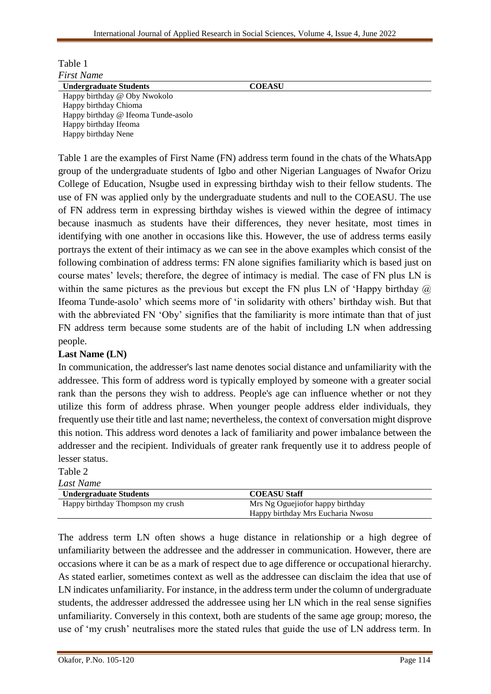| Table 1                             |               |  |
|-------------------------------------|---------------|--|
| <b>First Name</b>                   |               |  |
| <b>Undergraduate Students</b>       | <b>COEASU</b> |  |
| Happy birthday @ Oby Nwokolo        |               |  |
| Happy birthday Chioma               |               |  |
| Happy birthday @ Ifeoma Tunde-asolo |               |  |
| Happy birthday Ifeoma               |               |  |
| Happy birthday Nene                 |               |  |

Table 1 are the examples of First Name (FN) address term found in the chats of the WhatsApp group of the undergraduate students of Igbo and other Nigerian Languages of Nwafor Orizu College of Education, Nsugbe used in expressing birthday wish to their fellow students. The use of FN was applied only by the undergraduate students and null to the COEASU. The use of FN address term in expressing birthday wishes is viewed within the degree of intimacy because inasmuch as students have their differences, they never hesitate, most times in identifying with one another in occasions like this. However, the use of address terms easily portrays the extent of their intimacy as we can see in the above examples which consist of the following combination of address terms: FN alone signifies familiarity which is based just on course mates' levels; therefore, the degree of intimacy is medial. The case of FN plus LN is within the same pictures as the previous but except the FN plus LN of 'Happy birthday  $\omega$ Ifeoma Tunde-asolo' which seems more of 'in solidarity with others' birthday wish. But that with the abbreviated FN 'Oby' signifies that the familiarity is more intimate than that of just FN address term because some students are of the habit of including LN when addressing people.

### **Last Name (LN)**

In communication, the addresser's last name denotes social distance and unfamiliarity with the addressee. This form of address word is typically employed by someone with a greater social rank than the persons they wish to address. People's age can influence whether or not they utilize this form of address phrase. When younger people address elder individuals, they frequently use their title and last name; nevertheless, the context of conversation might disprove this notion. This address word denotes a lack of familiarity and power imbalance between the addresser and the recipient. Individuals of greater rank frequently use it to address people of lesser status.

Table 2 *Last Name*

| Last tvame                       |                                                                       |
|----------------------------------|-----------------------------------------------------------------------|
| <b>Undergraduate Students</b>    | <b>COEASU Staff</b>                                                   |
| Happy birthday Thompson my crush | Mrs Ng Oguejiofor happy birthday<br>Happy birthday Mrs Eucharia Nwosu |

The address term LN often shows a huge distance in relationship or a high degree of unfamiliarity between the addressee and the addresser in communication. However, there are occasions where it can be as a mark of respect due to age difference or occupational hierarchy. As stated earlier, sometimes context as well as the addressee can disclaim the idea that use of LN indicates unfamiliarity. For instance, in the address term under the column of undergraduate students, the addresser addressed the addressee using her LN which in the real sense signifies unfamiliarity. Conversely in this context, both are students of the same age group; moreso, the use of 'my crush' neutralises more the stated rules that guide the use of LN address term. In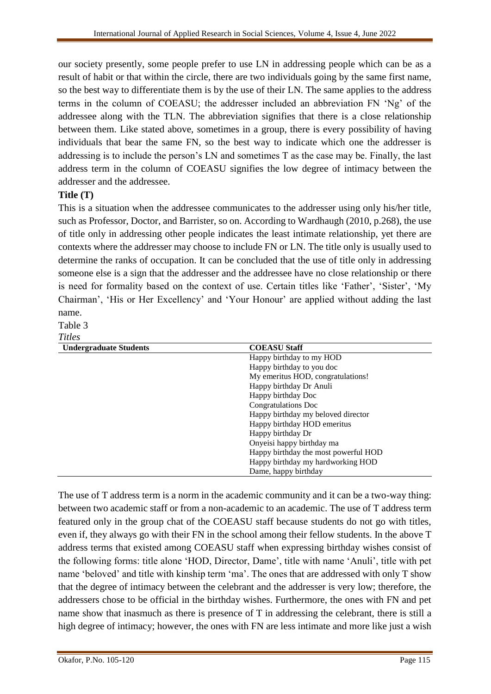our society presently, some people prefer to use LN in addressing people which can be as a result of habit or that within the circle, there are two individuals going by the same first name, so the best way to differentiate them is by the use of their LN. The same applies to the address terms in the column of COEASU; the addresser included an abbreviation FN 'Ng' of the addressee along with the TLN. The abbreviation signifies that there is a close relationship between them. Like stated above, sometimes in a group, there is every possibility of having individuals that bear the same FN, so the best way to indicate which one the addresser is addressing is to include the person's LN and sometimes T as the case may be. Finally, the last address term in the column of COEASU signifies the low degree of intimacy between the addresser and the addressee.

# **Title (T)**

This is a situation when the addressee communicates to the addresser using only his/her title, such as Professor, Doctor, and Barrister, so on. According to Wardhaugh (2010, p.268), the use of title only in addressing other people indicates the least intimate relationship, yet there are contexts where the addresser may choose to include FN or LN. The title only is usually used to determine the ranks of occupation. It can be concluded that the use of title only in addressing someone else is a sign that the addresser and the addressee have no close relationship or there is need for formality based on the context of use. Certain titles like 'Father', 'Sister', 'My Chairman', 'His or Her Excellency' and 'Your Honour' are applied without adding the last name.

Table 3

*Titles*

| <b>Undergraduate Students</b> | <b>COEASU Staff</b>                  |
|-------------------------------|--------------------------------------|
|                               | Happy birthday to my HOD             |
|                               | Happy birthday to you doc            |
|                               | My emeritus HOD, congratulations!    |
|                               | Happy birthday Dr Anuli              |
|                               | Happy birthday Doc                   |
|                               | Congratulations Doc                  |
|                               | Happy birthday my beloved director   |
|                               | Happy birthday HOD emeritus          |
|                               | Happy birthday Dr                    |
|                               | Onyeisi happy birthday ma            |
|                               | Happy birthday the most powerful HOD |
|                               | Happy birthday my hardworking HOD    |
|                               | Dame, happy birthday                 |

The use of T address term is a norm in the academic community and it can be a two-way thing: between two academic staff or from a non-academic to an academic. The use of T address term featured only in the group chat of the COEASU staff because students do not go with titles, even if, they always go with their FN in the school among their fellow students. In the above T address terms that existed among COEASU staff when expressing birthday wishes consist of the following forms: title alone 'HOD, Director, Dame', title with name 'Anuli', title with pet name 'beloved' and title with kinship term 'ma'. The ones that are addressed with only T show that the degree of intimacy between the celebrant and the addresser is very low; therefore, the addressers chose to be official in the birthday wishes. Furthermore, the ones with FN and pet name show that inasmuch as there is presence of T in addressing the celebrant, there is still a high degree of intimacy; however, the ones with FN are less intimate and more like just a wish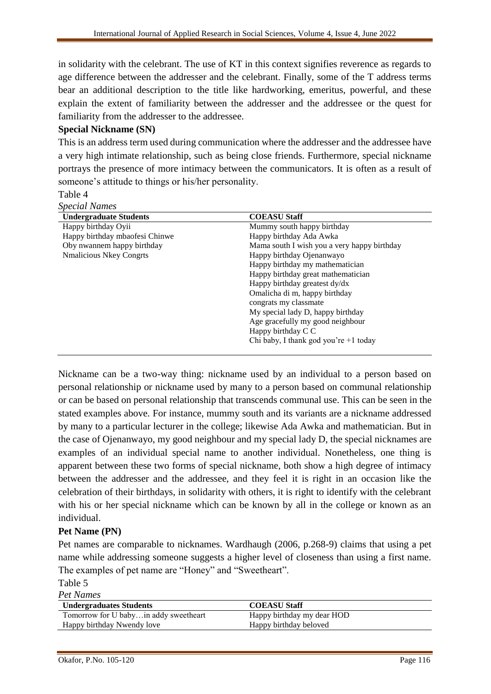in solidarity with the celebrant. The use of KT in this context signifies reverence as regards to age difference between the addresser and the celebrant. Finally, some of the T address terms bear an additional description to the title like hardworking, emeritus, powerful, and these explain the extent of familiarity between the addresser and the addressee or the quest for familiarity from the addresser to the addressee.

# **Special Nickname (SN)**

This is an address term used during communication where the addresser and the addressee have a very high intimate relationship, such as being close friends. Furthermore, special nickname portrays the presence of more intimacy between the communicators. It is often as a result of someone's attitude to things or his/her personality.

Table 4

| <b>Special Names</b>           |                                             |
|--------------------------------|---------------------------------------------|
| <b>Undergraduate Students</b>  | <b>COEASU Staff</b>                         |
| Happy birthday Oyii            | Mummy south happy birthday                  |
| Happy birthday mbaofesi Chinwe | Happy birthday Ada Awka                     |
| Oby nwannem happy birthday     | Mama south I wish you a very happy birthday |
| <b>Nmalicious Nkey Congrts</b> | Happy birthday Ojenanwayo                   |
|                                | Happy birthday my mathematician             |
|                                | Happy birthday great mathematician          |
|                                | Happy birthday greatest dy/dx               |
|                                | Omalicha di m, happy birthday               |
|                                | congrats my classmate                       |
|                                | My special lady D, happy birthday           |
|                                | Age gracefully my good neighbour            |
|                                | Happy birthday C C                          |
|                                | Chi baby, I thank god you're +1 today       |

Nickname can be a two-way thing: nickname used by an individual to a person based on personal relationship or nickname used by many to a person based on communal relationship or can be based on personal relationship that transcends communal use. This can be seen in the stated examples above. For instance, mummy south and its variants are a nickname addressed by many to a particular lecturer in the college; likewise Ada Awka and mathematician. But in the case of Ojenanwayo, my good neighbour and my special lady D, the special nicknames are examples of an individual special name to another individual. Nonetheless, one thing is apparent between these two forms of special nickname, both show a high degree of intimacy between the addresser and the addressee, and they feel it is right in an occasion like the celebration of their birthdays, in solidarity with others, it is right to identify with the celebrant with his or her special nickname which can be known by all in the college or known as an individual.

# **Pet Name (PN)**

Pet names are comparable to nicknames. Wardhaugh (2006, p.268-9) claims that using a pet name while addressing someone suggests a higher level of closeness than using a first name. The examples of pet name are "Honey" and "Sweetheart".

Table 5 *Pet Names*

| T CLIVATILO                           |                            |
|---------------------------------------|----------------------------|
| <b>Undergraduates Students</b>        | <b>COEASU Staff</b>        |
| Tomorrow for U babyin addy sweetheart | Happy birthday my dear HOD |
| Happy birthday Nwendy love            | Happy birthday beloved     |
|                                       |                            |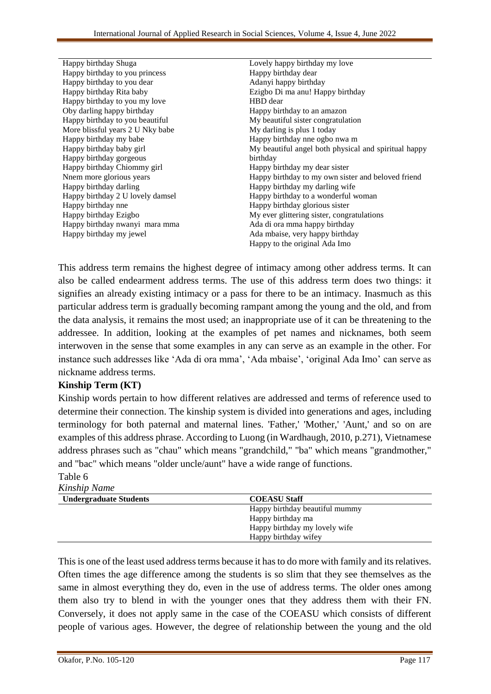| Happy birthday Shuga             | Lovely happy birthday my love                        |
|----------------------------------|------------------------------------------------------|
| Happy birthday to you princess   | Happy birthday dear                                  |
| Happy birthday to you dear       | Adanyi happy birthday                                |
| Happy birthday Rita baby         | Ezigbo Di ma anu! Happy birthday                     |
| Happy birthday to you my love    | HBD dear                                             |
| Oby darling happy birthday       | Happy birthday to an amazon                          |
| Happy birthday to you beautiful  | My beautiful sister congratulation                   |
| More blissful years 2 U Nky babe | My darling is plus 1 today                           |
| Happy birthday my babe           | Happy birthday nne ogbo nwa m                        |
| Happy birthday baby girl         | My beautiful angel both physical and spiritual happy |
| Happy birthday gorgeous          | birthday                                             |
| Happy birthday Chiommy girl      | Happy birthday my dear sister                        |
| Nnem more glorious years         | Happy birthday to my own sister and beloved friend   |
| Happy birthday darling           | Happy birthday my darling wife                       |
| Happy birthday 2 U lovely damsel | Happy birthday to a wonderful woman                  |
| Happy birthday nne               | Happy birthday glorious sister                       |
| Happy birthday Ezigbo            | My ever glittering sister, congratulations           |
| Happy birthday nwanyi mara mma   | Ada di ora mma happy birthday                        |
| Happy birthday my jewel          | Ada mbaise, very happy birthday                      |
|                                  | Happy to the original Ada Imo                        |

This address term remains the highest degree of intimacy among other address terms. It can also be called endearment address terms. The use of this address term does two things: it signifies an already existing intimacy or a pass for there to be an intimacy. Inasmuch as this particular address term is gradually becoming rampant among the young and the old, and from the data analysis, it remains the most used; an inappropriate use of it can be threatening to the addressee. In addition, looking at the examples of pet names and nicknames, both seem interwoven in the sense that some examples in any can serve as an example in the other. For instance such addresses like 'Ada di ora mma', 'Ada mbaise', 'original Ada Imo' can serve as nickname address terms.

### **Kinship Term (KT)**

Kinship words pertain to how different relatives are addressed and terms of reference used to determine their connection. The kinship system is divided into generations and ages, including terminology for both paternal and maternal lines. 'Father,' 'Mother,' 'Aunt,' and so on are examples of this address phrase. According to Luong (in Wardhaugh, 2010, p.271), Vietnamese address phrases such as "chau" which means "grandchild," "ba" which means "grandmother," and "bac" which means "older uncle/aunt" have a wide range of functions.

#### Table 6 *Kinship Name*

| <b>IVILIBILIP IVAILLE</b>     |                                |  |
|-------------------------------|--------------------------------|--|
| <b>Undergraduate Students</b> | <b>COEASU Staff</b>            |  |
|                               | Happy birthday beautiful mummy |  |
|                               | Happy birthday ma              |  |
|                               | Happy birthday my lovely wife  |  |
|                               | Happy birthday wifey           |  |
|                               |                                |  |

This is one of the least used address terms because it has to do more with family and its relatives. Often times the age difference among the students is so slim that they see themselves as the same in almost everything they do, even in the use of address terms. The older ones among them also try to blend in with the younger ones that they address them with their FN. Conversely, it does not apply same in the case of the COEASU which consists of different people of various ages. However, the degree of relationship between the young and the old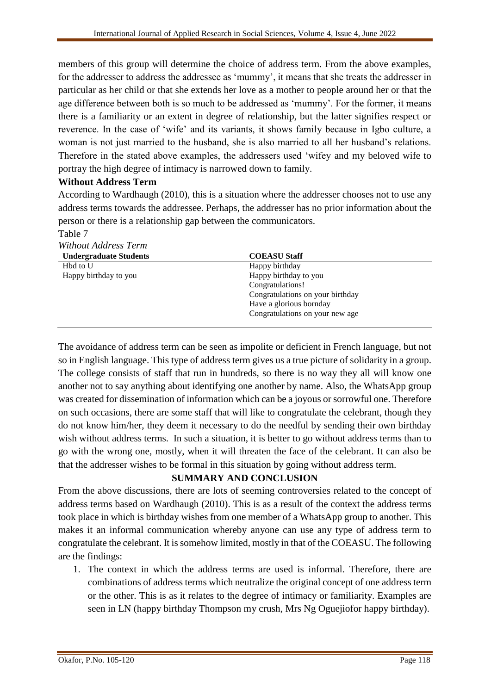members of this group will determine the choice of address term. From the above examples, for the addresser to address the addressee as 'mummy', it means that she treats the addresser in particular as her child or that she extends her love as a mother to people around her or that the age difference between both is so much to be addressed as 'mummy'. For the former, it means there is a familiarity or an extent in degree of relationship, but the latter signifies respect or reverence. In the case of 'wife' and its variants, it shows family because in Igbo culture, a woman is not just married to the husband, she is also married to all her husband's relations. Therefore in the stated above examples, the addressers used 'wifey and my beloved wife to portray the high degree of intimacy is narrowed down to family.

## **Without Address Term**

According to Wardhaugh (2010), this is a situation where the addresser chooses not to use any address terms towards the addressee. Perhaps, the addresser has no prior information about the person or there is a relationship gap between the communicators.

Table 7

| Without Address Term          |                                  |
|-------------------------------|----------------------------------|
| <b>Undergraduate Students</b> | <b>COEASU Staff</b>              |
| Hbd to U                      | Happy birthday                   |
| Happy birthday to you         | Happy birthday to you            |
|                               | Congratulations!                 |
|                               | Congratulations on your birthday |
|                               | Have a glorious bornday          |
|                               | Congratulations on your new age  |

The avoidance of address term can be seen as impolite or deficient in French language, but not so in English language. This type of address term gives us a true picture of solidarity in a group. The college consists of staff that run in hundreds, so there is no way they all will know one another not to say anything about identifying one another by name. Also, the WhatsApp group was created for dissemination of information which can be a joyous or sorrowful one. Therefore on such occasions, there are some staff that will like to congratulate the celebrant, though they do not know him/her, they deem it necessary to do the needful by sending their own birthday wish without address terms. In such a situation, it is better to go without address terms than to go with the wrong one, mostly, when it will threaten the face of the celebrant. It can also be that the addresser wishes to be formal in this situation by going without address term.

# **SUMMARY AND CONCLUSION**

From the above discussions, there are lots of seeming controversies related to the concept of address terms based on Wardhaugh (2010). This is as a result of the context the address terms took place in which is birthday wishes from one member of a WhatsApp group to another. This makes it an informal communication whereby anyone can use any type of address term to congratulate the celebrant. It is somehow limited, mostly in that of the COEASU. The following are the findings:

1. The context in which the address terms are used is informal. Therefore, there are combinations of address terms which neutralize the original concept of one address term or the other. This is as it relates to the degree of intimacy or familiarity. Examples are seen in LN (happy birthday Thompson my crush, Mrs Ng Oguejiofor happy birthday).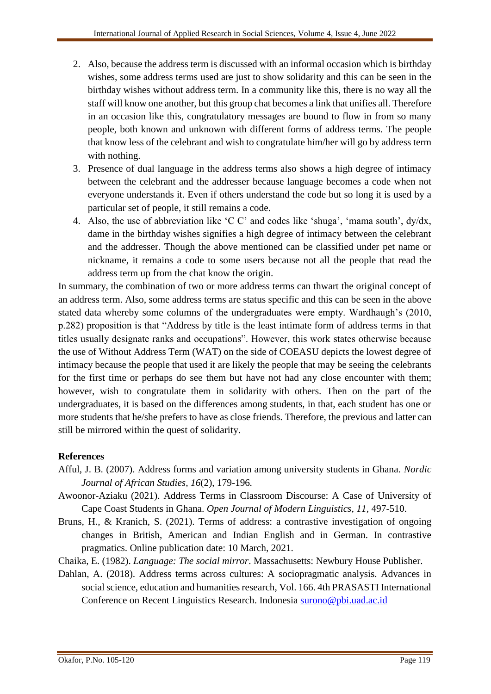- 2. Also, because the address term is discussed with an informal occasion which is birthday wishes, some address terms used are just to show solidarity and this can be seen in the birthday wishes without address term. In a community like this, there is no way all the staff will know one another, but this group chat becomes a link that unifies all. Therefore in an occasion like this, congratulatory messages are bound to flow in from so many people, both known and unknown with different forms of address terms. The people that know less of the celebrant and wish to congratulate him/her will go by address term with nothing.
- 3. Presence of dual language in the address terms also shows a high degree of intimacy between the celebrant and the addresser because language becomes a code when not everyone understands it. Even if others understand the code but so long it is used by a particular set of people, it still remains a code.
- 4. Also, the use of abbreviation like 'C C' and codes like 'shuga', 'mama south', dy/dx, dame in the birthday wishes signifies a high degree of intimacy between the celebrant and the addresser. Though the above mentioned can be classified under pet name or nickname, it remains a code to some users because not all the people that read the address term up from the chat know the origin.

In summary, the combination of two or more address terms can thwart the original concept of an address term. Also, some address terms are status specific and this can be seen in the above stated data whereby some columns of the undergraduates were empty. Wardhaugh's (2010, p.282) proposition is that "Address by title is the least intimate form of address terms in that titles usually designate ranks and occupations". However, this work states otherwise because the use of Without Address Term (WAT) on the side of COEASU depicts the lowest degree of intimacy because the people that used it are likely the people that may be seeing the celebrants for the first time or perhaps do see them but have not had any close encounter with them; however, wish to congratulate them in solidarity with others. Then on the part of the undergraduates, it is based on the differences among students, in that, each student has one or more students that he/she prefers to have as close friends. Therefore, the previous and latter can still be mirrored within the quest of solidarity.

### **References**

- Afful, J. B. (2007). Address forms and variation among university students in Ghana. *Nordic Journal of African Studies, 16*(2), 179-196*.*
- Awoonor-Aziaku (2021). Address Terms in Classroom Discourse: A Case of University of Cape Coast Students in Ghana. *Open Journal of Modern Linguistics*, *11,* 497-510.
- Bruns, H., & Kranich, S. (2021). Terms of address: a contrastive investigation of ongoing changes in British, American and Indian English and in German. In contrastive pragmatics. Online publication date: 10 March, 2021.
- Chaika, E. (1982). *Language: The social mirror*. Massachusetts: Newbury House Publisher.
- Dahlan, A. (2018). Address terms across cultures: A sociopragmatic analysis. Advances in social science, education and humanities research, Vol. 166. 4th PRASASTI International Conference on Recent Linguistics Research. Indonesia [surono@pbi.uad.ac.id](mailto:surono@pbi.uad.ac.id)